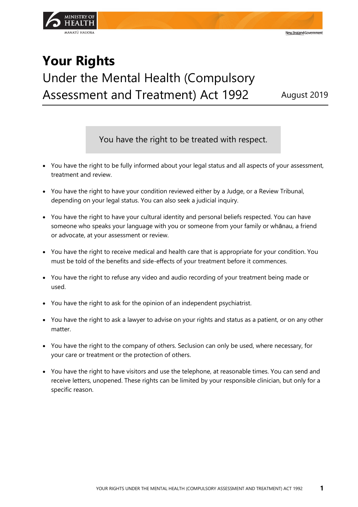

## **Your Rights** Under the Mental Health (Compulsory Assessment and Treatment) Act 1992 August 2019

New Zealand Government

You have the right to be treated with respect.

- You have the right to be fully informed about your legal status and all aspects of your assessment, treatment and review.
- You have the right to have your condition reviewed either by a Judge, or a Review Tribunal, depending on your legal status. You can also seek a judicial inquiry.
- You have the right to have your cultural identity and personal beliefs respected. You can have someone who speaks your language with you or someone from your family or whānau, a friend or advocate, at your assessment or review.
- You have the right to receive medical and health care that is appropriate for your condition. You must be told of the benefits and side-effects of your treatment before it commences.
- You have the right to refuse any video and audio recording of your treatment being made or used.
- You have the right to ask for the opinion of an independent psychiatrist.
- You have the right to ask a lawyer to advise on your rights and status as a patient, or on any other matter.
- You have the right to the company of others. Seclusion can only be used, where necessary, for your care or treatment or the protection of others.
- You have the right to have visitors and use the telephone, at reasonable times. You can send and receive letters, unopened. These rights can be limited by your responsible clinician, but only for a specific reason.